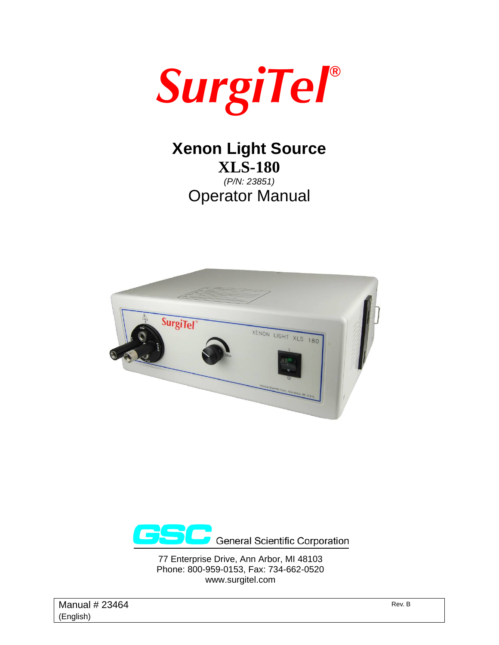

## **Xenon Light Source XLS-180**  *(P/N: 23851)*

Operator Manual





77 Enterprise Drive, Ann Arbor, MI 48103 Phone: 800-959-0153, Fax: 734-662-0520 www.surgitel.com

Manual  $\# 23464$  Rev. B (English)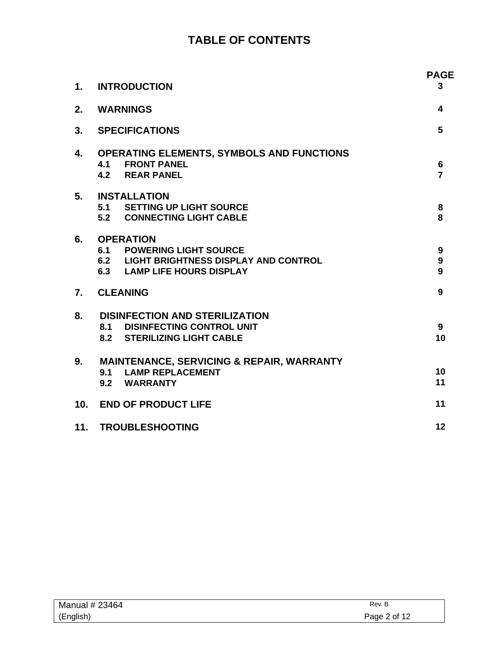### **TABLE OF CONTENTS**

| 1.              | <b>INTRODUCTION</b>                                                                                                             | <b>PAGE</b><br>3                 |
|-----------------|---------------------------------------------------------------------------------------------------------------------------------|----------------------------------|
| 2.              | <b>WARNINGS</b>                                                                                                                 | 4                                |
| 3.              | <b>SPECIFICATIONS</b>                                                                                                           | 5                                |
| 4.              | <b>OPERATING ELEMENTS, SYMBOLS AND FUNCTIONS</b><br><b>4.1 FRONT PANEL</b><br><b>4.2 REAR PANEL</b>                             | $6\phantom{1}$<br>$\overline{7}$ |
| 5.              | <b>INSTALLATION</b><br>5.1 SETTING UP LIGHT SOURCE<br>5.2 CONNECTING LIGHT CABLE                                                | 8<br>8                           |
| 6.              | <b>OPERATION</b><br><b>6.1 POWERING LIGHT SOURCE</b><br>6.2 LIGHT BRIGHTNESS DISPLAY AND CONTROL<br>6.3 LAMP LIFE HOURS DISPLAY | 9<br>9<br>9                      |
| 7.              | <b>CLEANING</b>                                                                                                                 | 9                                |
| 8.              | <b>DISINFECTION AND STERILIZATION</b><br><b>8.1 DISINFECTING CONTROL UNIT</b><br>8.2 STERILIZING LIGHT CABLE                    | 9<br>10                          |
| 9.              | <b>MAINTENANCE, SERVICING &amp; REPAIR, WARRANTY</b><br>9.1 LAMP REPLACEMENT<br>9.2 WARRANTY                                    | 10<br>11                         |
| 10 <sub>1</sub> | <b>END OF PRODUCT LIFE</b>                                                                                                      | 11                               |
|                 | 11. TROUBLESHOOTING                                                                                                             | 12                               |

| Manual # 23464 | Rev. B       |
|----------------|--------------|
| (English)      | Page 2 of 12 |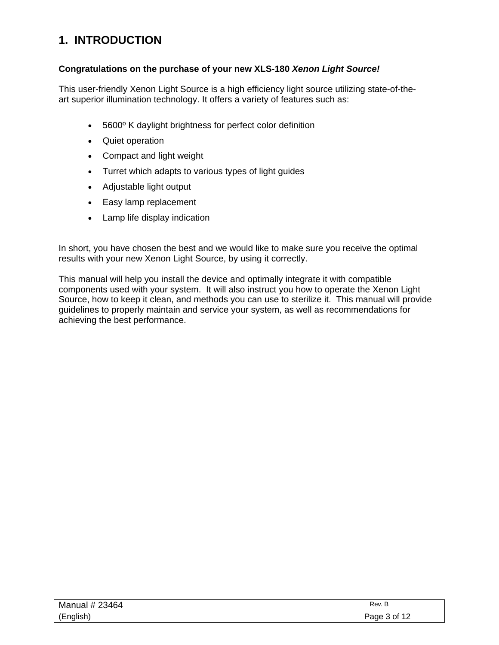### **1. INTRODUCTION**

#### **Congratulations on the purchase of your new XLS-180** *Xenon Light Source!*

This user-friendly Xenon Light Source is a high efficiency light source utilizing state-of-theart superior illumination technology. It offers a variety of features such as:

- 5600º K daylight brightness for perfect color definition
- Quiet operation
- Compact and light weight
- Turret which adapts to various types of light guides
- Adjustable light output
- Easy lamp replacement
- Lamp life display indication

In short, you have chosen the best and we would like to make sure you receive the optimal results with your new Xenon Light Source, by using it correctly.

This manual will help you install the device and optimally integrate it with compatible components used with your system. It will also instruct you how to operate the Xenon Light Source, how to keep it clean, and methods you can use to sterilize it. This manual will provide guidelines to properly maintain and service your system, as well as recommendations for achieving the best performance.

| Manual # 23464 | Rev. B       |
|----------------|--------------|
| (English)      | Page 3 of 12 |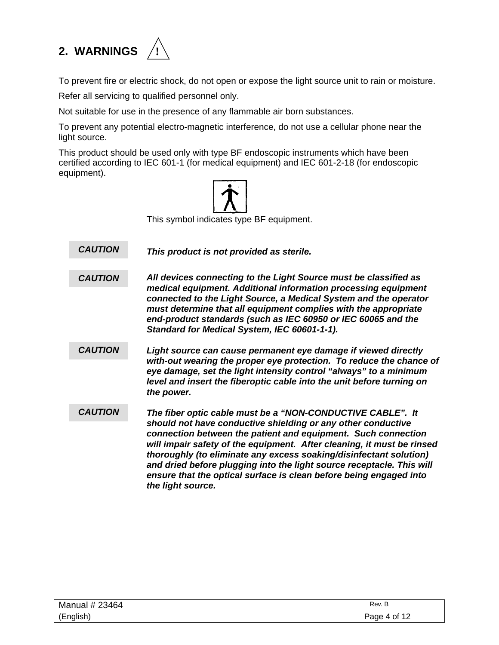# **2. WARNINGS !**



To prevent fire or electric shock, do not open or expose the light source unit to rain or moisture.

Refer all servicing to qualified personnel only.

Not suitable for use in the presence of any flammable air born substances.

To prevent any potential electro-magnetic interference, do not use a cellular phone near the light source.

This product should be used only with type BF endoscopic instruments which have been certified according to IEC 601-1 (for medical equipment) and IEC 601-2-18 (for endoscopic equipment).



This symbol indicates type BF equipment.

*This product is not provided as sterile. CAUTION* 

*All devices connecting to the Light Source must be classified as medical equipment. Additional information processing equipment connected to the Light Source, a Medical System and the operator must determine that all equipment complies with the appropriate end-product standards (such as IEC 60950 or IEC 60065 and the Standard for Medical System, IEC 60601-1-1). CAUTION* 

- *Light source can cause permanent eye damage if viewed directly with-out wearing the proper eye protection. To reduce the chance of eye damage, set the light intensity control "always" to a minimum level and insert the fiberoptic cable into the unit before turning on the power. CAUTION*
- *The fiber optic cable must be a "NON-CONDUCTIVE CABLE". It should not have conductive shielding or any other conductive connection between the patient and equipment. Such connection will impair safety of the equipment. After cleaning, it must be rinsed thoroughly (to eliminate any excess soaking/disinfectant solution) and dried before plugging into the light source receptacle. This will ensure that the optical surface is clean before being engaged into the light source. CAUTION*

| Manual # 23464 | Rev. B       |
|----------------|--------------|
| (English)      | Page 4 of 12 |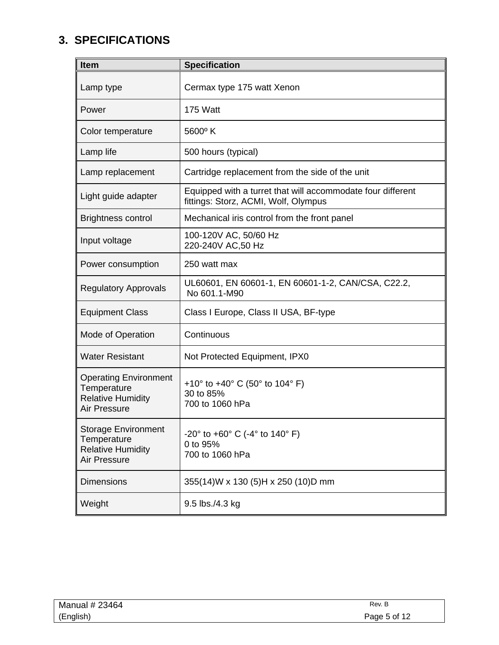### **3. SPECIFICATIONS**

| <b>Item</b>                                                                             | <b>Specification</b>                                                                                |
|-----------------------------------------------------------------------------------------|-----------------------------------------------------------------------------------------------------|
| Lamp type                                                                               | Cermax type 175 watt Xenon                                                                          |
| Power                                                                                   | 175 Watt                                                                                            |
| Color temperature                                                                       | $5600^{\circ}$ K                                                                                    |
| Lamp life                                                                               | 500 hours (typical)                                                                                 |
| Lamp replacement                                                                        | Cartridge replacement from the side of the unit                                                     |
| Light guide adapter                                                                     | Equipped with a turret that will accommodate four different<br>fittings: Storz, ACMI, Wolf, Olympus |
| <b>Brightness control</b>                                                               | Mechanical iris control from the front panel                                                        |
| Input voltage                                                                           | 100-120V AC, 50/60 Hz<br>220-240V AC,50 Hz                                                          |
| Power consumption                                                                       | 250 watt max                                                                                        |
| <b>Regulatory Approvals</b>                                                             | UL60601, EN 60601-1, EN 60601-1-2, CAN/CSA, C22.2,<br>No 601.1-M90                                  |
| <b>Equipment Class</b>                                                                  | Class I Europe, Class II USA, BF-type                                                               |
| Mode of Operation                                                                       | Continuous                                                                                          |
| <b>Water Resistant</b>                                                                  | Not Protected Equipment, IPX0                                                                       |
| <b>Operating Environment</b><br>Temperature<br><b>Relative Humidity</b><br>Air Pressure | +10 $\degree$ to +40 $\degree$ C (50 $\degree$ to 104 $\degree$ F)<br>30 to 85%<br>700 to 1060 hPa  |
| <b>Storage Environment</b><br>Temperature<br><b>Relative Humidity</b><br>Air Pressure   | $-20^{\circ}$ to $+60^{\circ}$ C ( $-4^{\circ}$ to 140° F)<br>0 to 95%<br>700 to 1060 hPa           |
| <b>Dimensions</b>                                                                       | 355(14)W x 130 (5)H x 250 (10)D mm                                                                  |
| Weight                                                                                  | 9.5 lbs./4.3 kg                                                                                     |

| Manual # 23464 | Rev. B       |
|----------------|--------------|
| (English)      | Page 5 of 12 |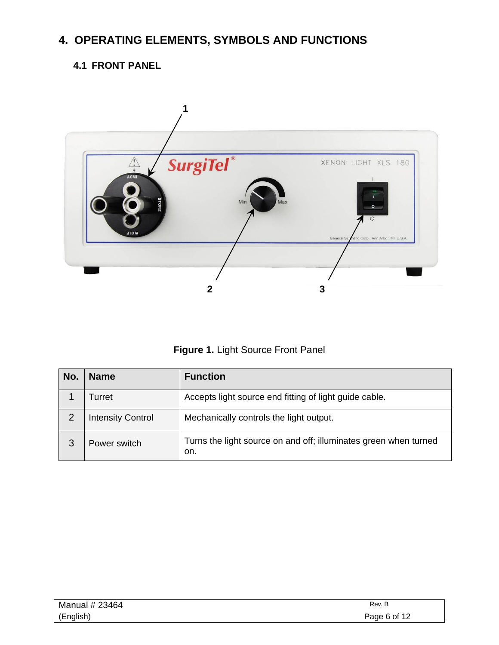### **4. OPERATING ELEMENTS, SYMBOLS AND FUNCTIONS**

### **4.1 FRONT PANEL**



**Figure 1.** Light Source Front Panel

| No.            | <b>Name</b>              | <b>Function</b>                                                         |
|----------------|--------------------------|-------------------------------------------------------------------------|
|                | Turret                   | Accepts light source end fitting of light guide cable.                  |
| $\overline{2}$ | <b>Intensity Control</b> | Mechanically controls the light output.                                 |
| 3              | Power switch             | Turns the light source on and off; illuminates green when turned<br>on. |

| Manual # 23464 | Rev. B       |
|----------------|--------------|
| (English)      | Page 6 of 12 |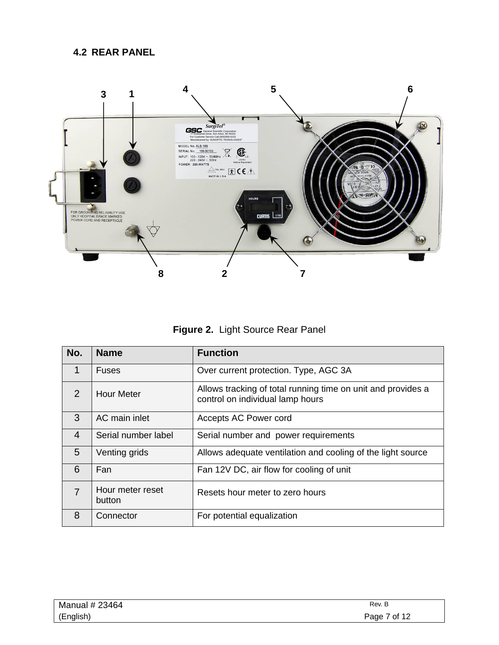#### **4.2 REAR PANEL**



**Figure 2.** Light Source Rear Panel

| No.          | <b>Name</b>                | <b>Function</b>                                                                                  |
|--------------|----------------------------|--------------------------------------------------------------------------------------------------|
| $\mathbf{1}$ | <b>Fuses</b>               | Over current protection. Type, AGC 3A                                                            |
| 2            | <b>Hour Meter</b>          | Allows tracking of total running time on unit and provides a<br>control on individual lamp hours |
| 3            | AC main inlet              | Accepts AC Power cord                                                                            |
| 4            | Serial number label        | Serial number and power requirements                                                             |
| 5            | Venting grids              | Allows adequate ventilation and cooling of the light source                                      |
| 6            | Fan                        | Fan 12V DC, air flow for cooling of unit                                                         |
| 7            | Hour meter reset<br>button | Resets hour meter to zero hours                                                                  |
| 8            | Connector                  | For potential equalization                                                                       |

| Manual # 23464 | Rev. B       |
|----------------|--------------|
| (English)      | Page 7 of 12 |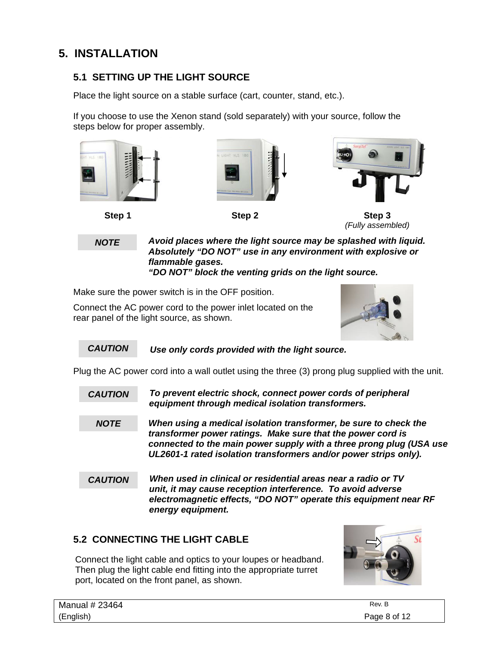### **5. INSTALLATION**

#### **5.1 SETTING UP THE LIGHT SOURCE**

Place the light source on a stable surface (cart, counter, stand, etc.).

If you choose to use the Xenon stand (sold separately) with your source, follow the steps below for proper assembly.



*NOTE* 

*Avoid places where the light source may be splashed with liquid. Absolutely "DO NOT" use in any environment with explosive or flammable gases. "DO NOT" block the venting grids on the light source.* 

Make sure the power switch is in the OFF position.

Connect the AC power cord to the power inlet located on the rear panel of the light source, as shown.



 *Use only cords provided with the light source. CAUTION* 

Plug the AC power cord into a wall outlet using the three (3) prong plug supplied with the unit.

- *To prevent electric shock, connect power cords of peripheral equipment through medical isolation transformers. CAUTION*
- *When using a medical isolation transformer, be sure to check the transformer power ratings. Make sure that the power cord is connected to the main power supply with a three prong plug (USA use UL2601-1 rated isolation transformers and/or power strips only). NOTE*
- *When used in clinical or residential areas near a radio or TV unit, it may cause reception interference. To avoid adverse electromagnetic effects, "DO NOT" operate this equipment near RF energy equipment. CAUTION*

#### **5.2 CONNECTING THE LIGHT CABLE**

Connect the light cable and optics to your loupes or headband. Then plug the light cable end fitting into the appropriate turret port, located on the front panel, as shown.



| Manual # 23464 | Rev. B       |
|----------------|--------------|
| (English)      | Page 8 of 12 |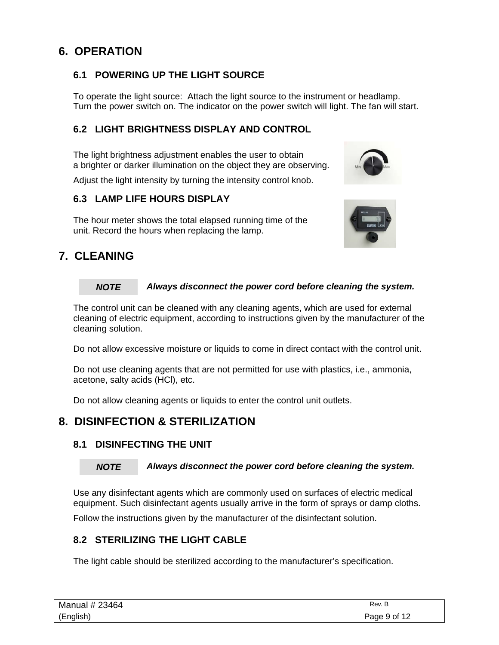### **6. OPERATION**

#### **6.1 POWERING UP THE LIGHT SOURCE**

To operate the light source: Attach the light source to the instrument or headlamp. Turn the power switch on. The indicator on the power switch will light. The fan will start.

#### **6.2 LIGHT BRIGHTNESS DISPLAY AND CONTROL**

The light brightness adjustment enables the user to obtain a brighter or darker illumination on the object they are observing.

Adjust the light intensity by turning the intensity control knob.

#### **6.3 LAMP LIFE HOURS DISPLAY**

The hour meter shows the total elapsed running time of the unit. Record the hours when replacing the lamp.

### **7. CLEANING**

#### *Always disconnect the power cord before cleaning the system. NOTE*

The control unit can be cleaned with any cleaning agents, which are used for external cleaning of electric equipment, according to instructions given by the manufacturer of the cleaning solution.

Do not allow excessive moisture or liquids to come in direct contact with the control unit.

Do not use cleaning agents that are not permitted for use with plastics, i.e., ammonia, acetone, salty acids (HCl), etc.

Do not allow cleaning agents or liquids to enter the control unit outlets.

#### **8. DISINFECTION & STERILIZATION**

#### **8.1 DISINFECTING THE UNIT**

#### *NOTE*

*Always disconnect the power cord before cleaning the system.* 

Use any disinfectant agents which are commonly used on surfaces of electric medical equipment. Such disinfectant agents usually arrive in the form of sprays or damp cloths.

Follow the instructions given by the manufacturer of the disinfectant solution.

#### **8.2 STERILIZING THE LIGHT CABLE**

The light cable should be sterilized according to the manufacturer's specification.

| Manual # 23464 | Rev. B       |
|----------------|--------------|
| (English)      | Page 9 of 12 |

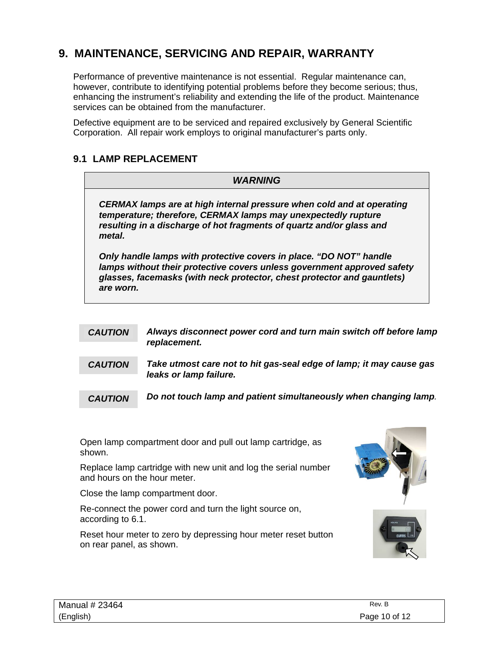### **9. MAINTENANCE, SERVICING AND REPAIR, WARRANTY**

Performance of preventive maintenance is not essential. Regular maintenance can, however, contribute to identifying potential problems before they become serious; thus, enhancing the instrument's reliability and extending the life of the product. Maintenance services can be obtained from the manufacturer.

Defective equipment are to be serviced and repaired exclusively by General Scientific Corporation. All repair work employs to original manufacturer's parts only.

#### **9.1 LAMP REPLACEMENT**

|                                                                                                                                                                                                                          |                | <i><b>WARNING</b></i>                                                                                                                                                                                                    |  |  |
|--------------------------------------------------------------------------------------------------------------------------------------------------------------------------------------------------------------------------|----------------|--------------------------------------------------------------------------------------------------------------------------------------------------------------------------------------------------------------------------|--|--|
| CERMAX lamps are at high internal pressure when cold and at operating<br>temperature; therefore, CERMAX lamps may unexpectedly rupture<br>resulting in a discharge of hot fragments of quartz and/or glass and<br>metal. |                |                                                                                                                                                                                                                          |  |  |
|                                                                                                                                                                                                                          | are worn.      | Only handle lamps with protective covers in place. "DO NOT" handle<br>lamps without their protective covers unless government approved safety<br>glasses, facemasks (with neck protector, chest protector and gauntlets) |  |  |
|                                                                                                                                                                                                                          | <b>CAUTION</b> | Always disconnect power cord and turn main switch off before lamp<br>replacement.                                                                                                                                        |  |  |
|                                                                                                                                                                                                                          | <b>CAUTION</b> | Take utmost care not to hit gas-seal edge of lamp; it may cause gas<br>leaks or lamp failure.                                                                                                                            |  |  |
|                                                                                                                                                                                                                          | <b>CAUTION</b> | Do not touch lamp and patient simultaneously when changing lamp.                                                                                                                                                         |  |  |

Open lamp compartment door and pull out lamp cartridge, as shown.

Replace lamp cartridge with new unit and log the serial number and hours on the hour meter.

Close the lamp compartment door.

Re-connect the power cord and turn the light source on, according to 6.1.

Reset hour meter to zero by depressing hour meter reset button on rear panel, as shown.



| Manual # 23464 | Rev. B        |
|----------------|---------------|
| (English)      | Page 10 of 12 |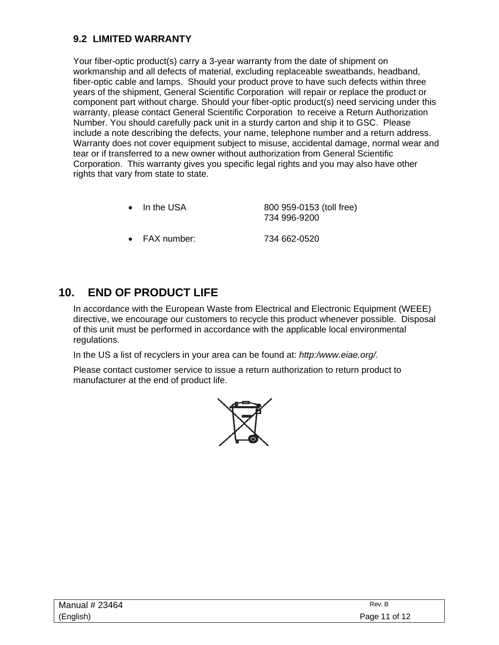#### **9.2 LIMITED WARRANTY**

Your fiber-optic product(s) carry a 3-year warranty from the date of shipment on workmanship and all defects of material, excluding replaceable sweatbands, headband, fiber-optic cable and lamps. Should your product prove to have such defects within three years of the shipment, General Scientific Corporation will repair or replace the product or component part without charge. Should your fiber-optic product(s) need servicing under this warranty, please contact General Scientific Corporation to receive a Return Authorization Number. You should carefully pack unit in a sturdy carton and ship it to GSC. Please include a note describing the defects, your name, telephone number and a return address. Warranty does not cover equipment subject to misuse, accidental damage, normal wear and tear or if transferred to a new owner without authorization from General Scientific Corporation. This warranty gives you specific legal rights and you may also have other rights that vary from state to state.

| $\bullet$ In the USA | 800 959-0153 (toll free)<br>734 996-9200 |  |
|----------------------|------------------------------------------|--|
| FAX number:          | 734 662-0520                             |  |

### **10. END OF PRODUCT LIFE**

 In accordance with the European Waste from Electrical and Electronic Equipment (WEEE) directive, we encourage our customers to recycle this product whenever possible. Disposal of this unit must be performed in accordance with the applicable local environmental regulations.

In the US a list of recyclers in your area can be found at: *http:/www.eiae.org/.* 

Please contact customer service to issue a return authorization to return product to manufacturer at the end of product life.



| Manual # 23464 | Rev. B        |
|----------------|---------------|
| (English)      | Page 11 of 12 |